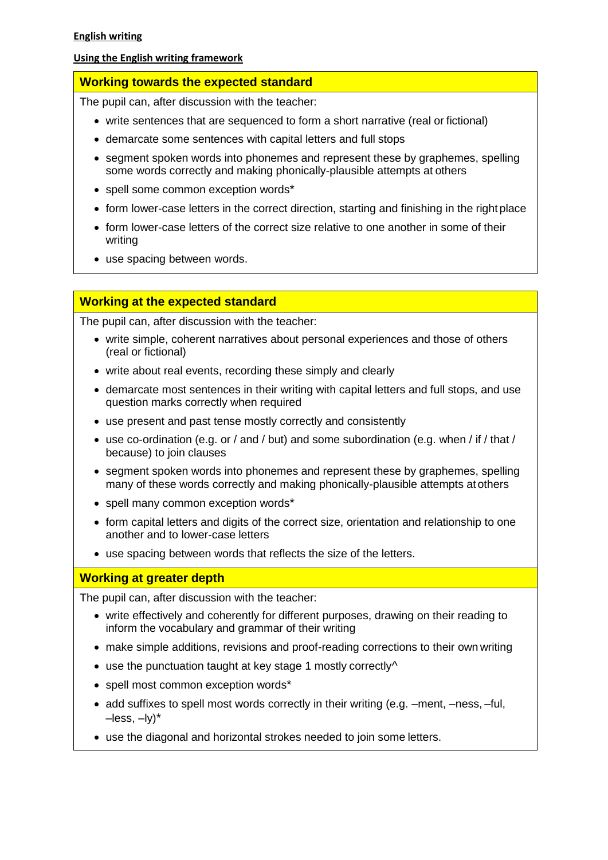### **Using the English writing framework**

## **Working towards the expected standard**

The pupil can, after discussion with the teacher:

- write sentences that are sequenced to form a short narrative (real or fictional)
- demarcate some sentences with capital letters and full stops
- segment spoken words into phonemes and represent these by graphemes, spelling some words correctly and making phonically-plausible attempts at others
- spell some common exception words\*
- form lower-case letters in the correct direction, starting and finishing in the right place
- form lower-case letters of the correct size relative to one another in some of their writing
- use spacing between words.

## **Working at the expected standard**

The pupil can, after discussion with the teacher:

- write simple, coherent narratives about personal experiences and those of others (real or fictional)
- write about real events, recording these simply and clearly
- demarcate most sentences in their writing with capital letters and full stops, and use question marks correctly when required
- use present and past tense mostly correctly and consistently
- use co-ordination (e.g. or / and / but) and some subordination (e.g. when / if / that / because) to join clauses
- segment spoken words into phonemes and represent these by graphemes, spelling many of these words correctly and making phonically-plausible attempts atothers
- spell many common exception words\*
- form capital letters and digits of the correct size, orientation and relationship to one another and to lower-case letters
- use spacing between words that reflects the size of the letters.

# **Working at greater depth**

The pupil can, after discussion with the teacher:

- write effectively and coherently for different purposes, drawing on their reading to inform the vocabulary and grammar of their writing
- make simple additions, revisions and proof-reading corrections to their own writing
- use the punctuation taught at key stage 1 mostly correctly<sup>^</sup>
- spell most common exception words\*
- add suffixes to spell most words correctly in their writing (e.g. –ment, –ness, –ful,  $-$ less,  $-$ ly) $*$
- use the diagonal and horizontal strokes needed to join some letters.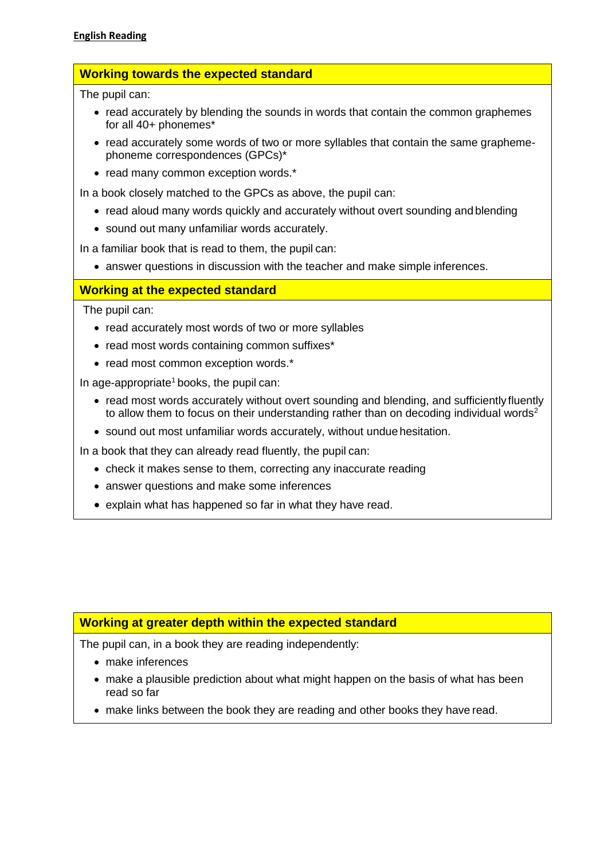# **Working towards the expected standard**

The pupil can:

- read accurately by blending the sounds in words that contain the common graphemes for all 40+ phonemes\*
- read accurately some words of two or more syllables that contain the same graphemephoneme correspondences (GPCs)\*
- read many common exception words.\*

In a book closely matched to the GPCs as above, the pupil can:

- read aloud many words quickly and accurately without overt sounding and blending
- sound out many unfamiliar words accurately.

In a familiar book that is read to them, the pupil can:

• answer questions in discussion with the teacher and make simple inferences.

# **Working at the expected standard**

The pupil can:

- read accurately most words of two or more syllables
- read most words containing common suffixes\*
- read most common exception words.\*

In age-appropriate<sup>1</sup> books, the pupil can:

- read most words accurately without overt sounding and blending, and sufficiently fluently to allow them to focus on their understanding rather than on decoding individual words<sup>2</sup>
- sound out most unfamiliar words accurately, without undue hesitation.

In a book that they can already read fluently, the pupil can:

- check it makes sense to them, correcting any inaccurate reading
- answer questions and make some inferences
- explain what has happened so far in what they have read.

## **Working at greater depth within the expected standard**

The pupil can, in a book they are reading independently:

- make inferences
- make a plausible prediction about what might happen on the basis of what has been read so far
- make links between the book they are reading and other books they have read.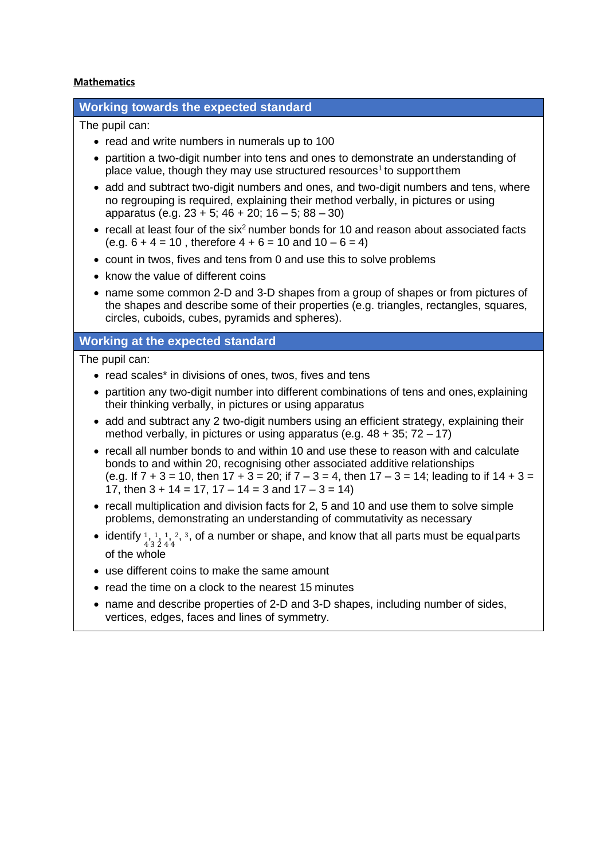#### **Mathematics**

### **Working towards the expected standard**

The pupil can:

- read and write numbers in numerals up to 100
- partition a two-digit number into tens and ones to demonstrate an understanding of place value, though they may use structured resources<sup>1</sup> to support them
- add and subtract two-digit numbers and ones, and two-digit numbers and tens, where no regrouping is required, explaining their method verbally, in pictures or using apparatus (e.g. 23 + 5; 46 + 20; 16 – 5; 88 – 30)
- recall at least four of the six<sup>2</sup> number bonds for 10 and reason about associated facts  $(e.g. 6 + 4 = 10$ , therefore  $4 + 6 = 10$  and  $10 - 6 = 4$ )
- count in twos, fives and tens from 0 and use this to solve problems
- know the value of different coins
- name some common 2-D and 3-D shapes from a group of shapes or from pictures of the shapes and describe some of their properties (e.g. triangles, rectangles, squares, circles, cuboids, cubes, pyramids and spheres).

## **Working at the expected standard**

The pupil can:

- read scales\* in divisions of ones, twos, fives and tens
- partition any two-digit number into different combinations of tens and ones, explaining their thinking verbally, in pictures or using apparatus
- add and subtract any 2 two-digit numbers using an efficient strategy, explaining their method verbally, in pictures or using apparatus (e.g.  $48 + 35$ ;  $72 - 17$ )
- recall all number bonds to and within 10 and use these to reason with and calculate bonds to and within 20, recognising other associated additive relationships (e.g. If  $7 + 3 = 10$ , then  $17 + 3 = 20$ ; if  $7 - 3 = 4$ , then  $17 - 3 = 14$ ; leading to if  $14 + 3 = 12$ 17, then  $3 + 14 = 17$ ,  $17 - 14 = 3$  and  $17 - 3 = 14$ )
- recall multiplication and division facts for 2, 5 and 10 and use them to solve simple problems, demonstrating an understanding of commutativity as necessary
- identify  $\frac{1}{4}$ ,  $\frac{1}{3}$ ,  $\frac{1}{2}$ ,  $\frac{2}{3}$ , of a number or shape, and know that all parts must be equalparts of the whole
- use different coins to make the same amount
- read the time on a clock to the nearest 15 minutes
- name and describe properties of 2-D and 3-D shapes, including number of sides, vertices, edges, faces and lines of symmetry.